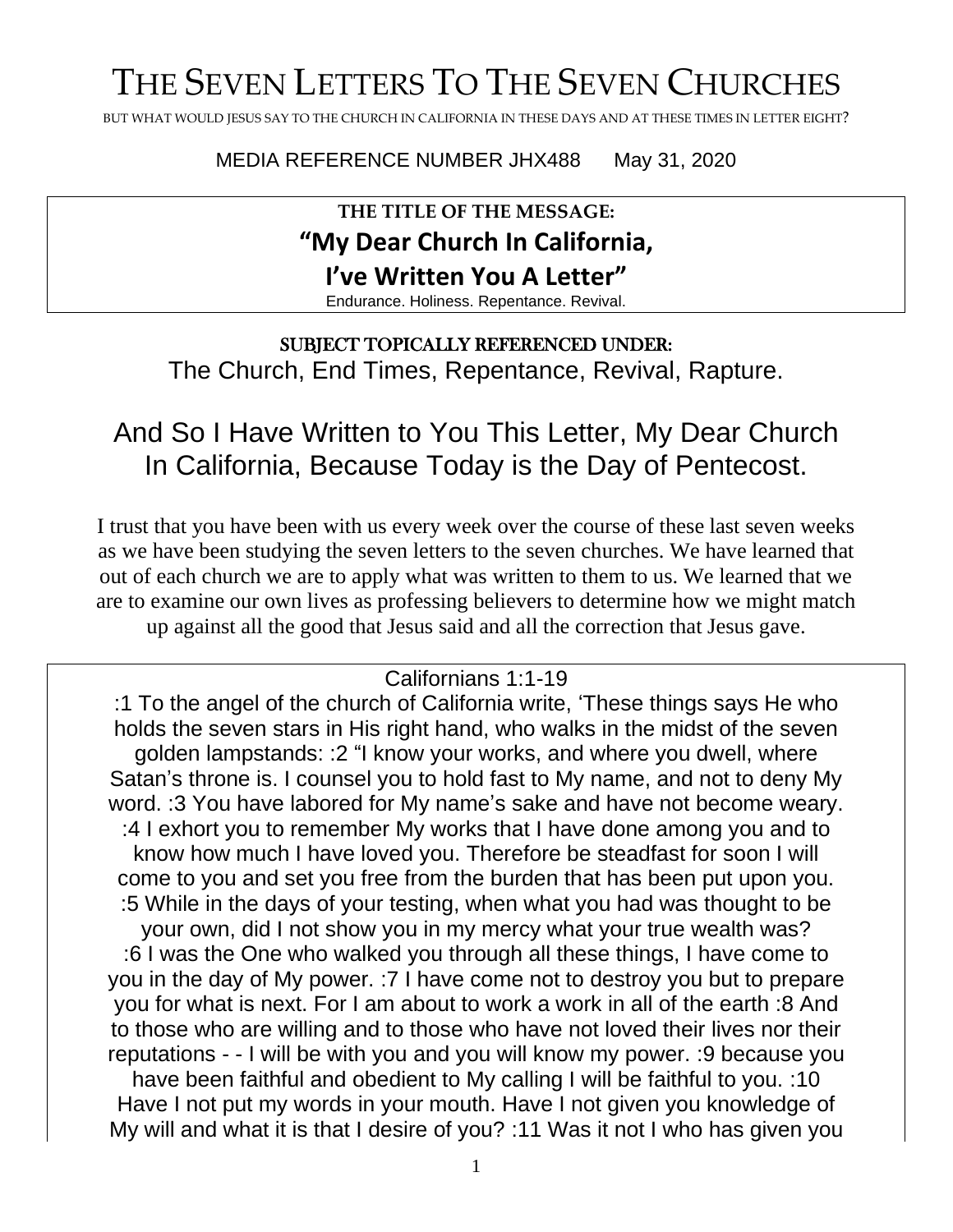# THE SEVEN LETTERS TO THE SEVEN CHURCHES

BUT WHAT WOULD JESUS SAY TO THE CHURCH IN CALIFORNIA IN THESE DAYS AND AT THESE TIMES IN LETTER EIGHT?

MEDIA REFERENCE NUMBER JHX488 May 31, 2020

### **THE TITLE OF THE MESSAGE: "My Dear Church In California, I've Written You A Letter"**

Endurance. Holiness. Repentance. Revival.

#### SUBJECT TOPICALLY REFERENCED UNDER:

The Church, End Times, Repentance, Revival, Rapture.

### And So I Have Written to You This Letter, My Dear Church In California, Because Today is the Day of Pentecost.

I trust that you have been with us every week over the course of these last seven weeks as we have been studying the seven letters to the seven churches. We have learned that out of each church we are to apply what was written to them to us. We learned that we are to examine our own lives as professing believers to determine how we might match up against all the good that Jesus said and all the correction that Jesus gave.

#### Californians 1:1-19

:1 To the angel of the church of California write, 'These things says He who holds the seven stars in His right hand, who walks in the midst of the seven golden lampstands: :2 "I know your works, and where you dwell, where Satan's throne is. I counsel you to hold fast to My name, and not to deny My word. :3 You have labored for My name's sake and have not become weary. :4 I exhort you to remember My works that I have done among you and to know how much I have loved you. Therefore be steadfast for soon I will come to you and set you free from the burden that has been put upon you. :5 While in the days of your testing, when what you had was thought to be your own, did I not show you in my mercy what your true wealth was? :6 I was the One who walked you through all these things, I have come to you in the day of My power. :7 I have come not to destroy you but to prepare you for what is next. For I am about to work a work in all of the earth :8 And to those who are willing and to those who have not loved their lives nor their reputations - - I will be with you and you will know my power. :9 because you have been faithful and obedient to My calling I will be faithful to you. :10 Have I not put my words in your mouth. Have I not given you knowledge of My will and what it is that I desire of you? :11 Was it not I who has given you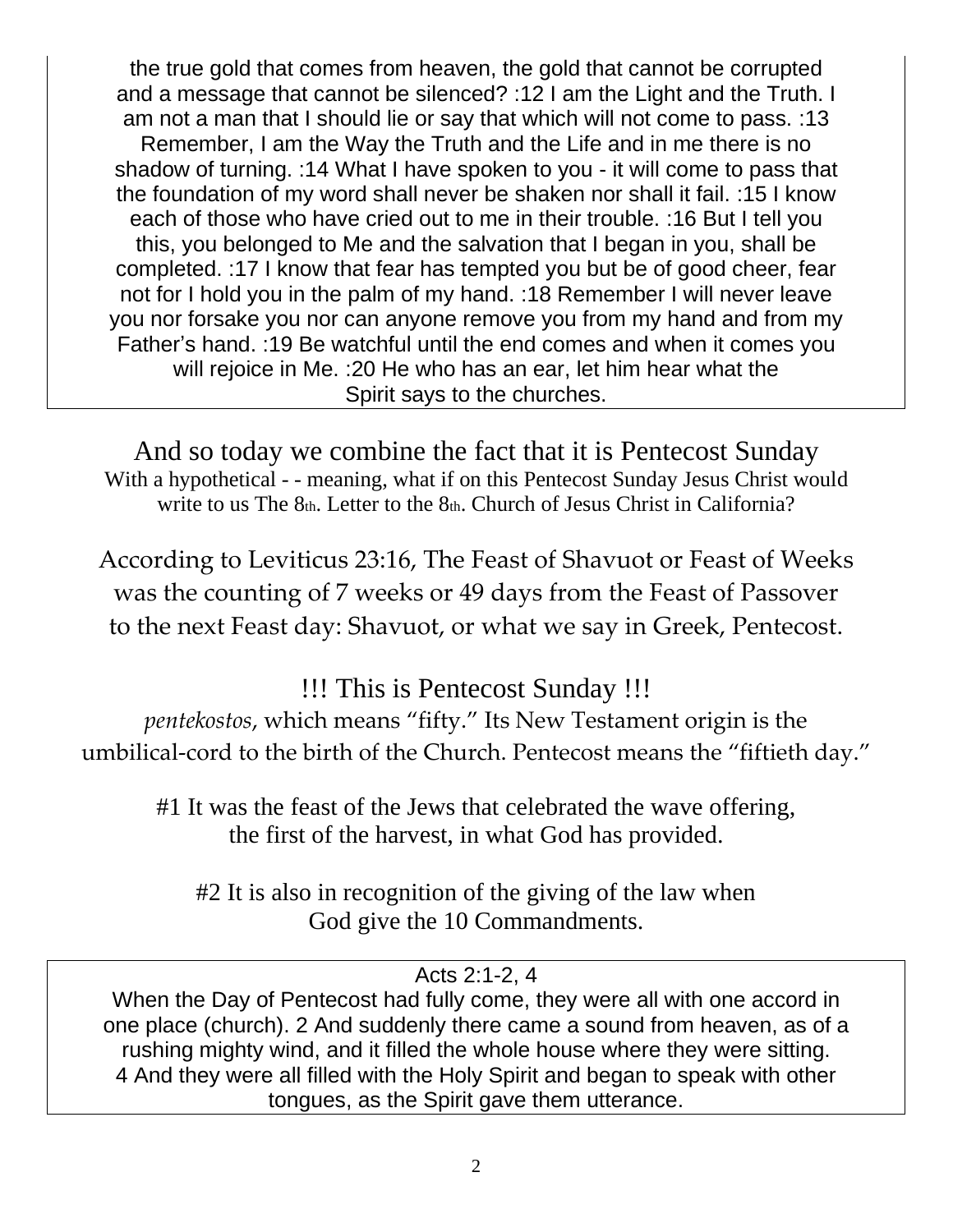the true gold that comes from heaven, the gold that cannot be corrupted and a message that cannot be silenced? :12 I am the Light and the Truth. I am not a man that I should lie or say that which will not come to pass. :13 Remember, I am the Way the Truth and the Life and in me there is no shadow of turning. :14 What I have spoken to you - it will come to pass that the foundation of my word shall never be shaken nor shall it fail. :15 I know each of those who have cried out to me in their trouble. :16 But I tell you this, you belonged to Me and the salvation that I began in you, shall be completed. :17 I know that fear has tempted you but be of good cheer, fear not for I hold you in the palm of my hand. :18 Remember I will never leave you nor forsake you nor can anyone remove you from my hand and from my Father's hand. :19 Be watchful until the end comes and when it comes you will rejoice in Me. :20 He who has an ear, let him hear what the Spirit says to the churches.

And so today we combine the fact that it is Pentecost Sunday With a hypothetical - - meaning, what if on this Pentecost Sunday Jesus Christ would write to us The 8th. Letter to the 8th. Church of Jesus Christ in California?

According to Leviticus 23:16, The Feast of Shavuot or Feast of Weeks was the counting of 7 weeks or 49 days from the Feast of Passover to the next Feast day: Shavuot, or what we say in Greek, Pentecost.

!!! This is Pentecost Sunday !!!

*pentekostos*, which means "fifty." Its New Testament origin is the umbilical-cord to the birth of the Church. Pentecost means the "fiftieth day."

#1 It was the feast of the Jews that celebrated the wave offering, the first of the harvest, in what God has provided.

#2 It is also in recognition of the giving of the law when God give the 10 Commandments.

Acts 2:1-2, 4

When the Day of Pentecost had fully come, they were all with one accord in one place (church). 2 And suddenly there came a sound from heaven, as of a rushing mighty wind, and it filled the whole house where they were sitting. 4 And they were all filled with the Holy Spirit and began to speak with other tongues, as the Spirit gave them utterance.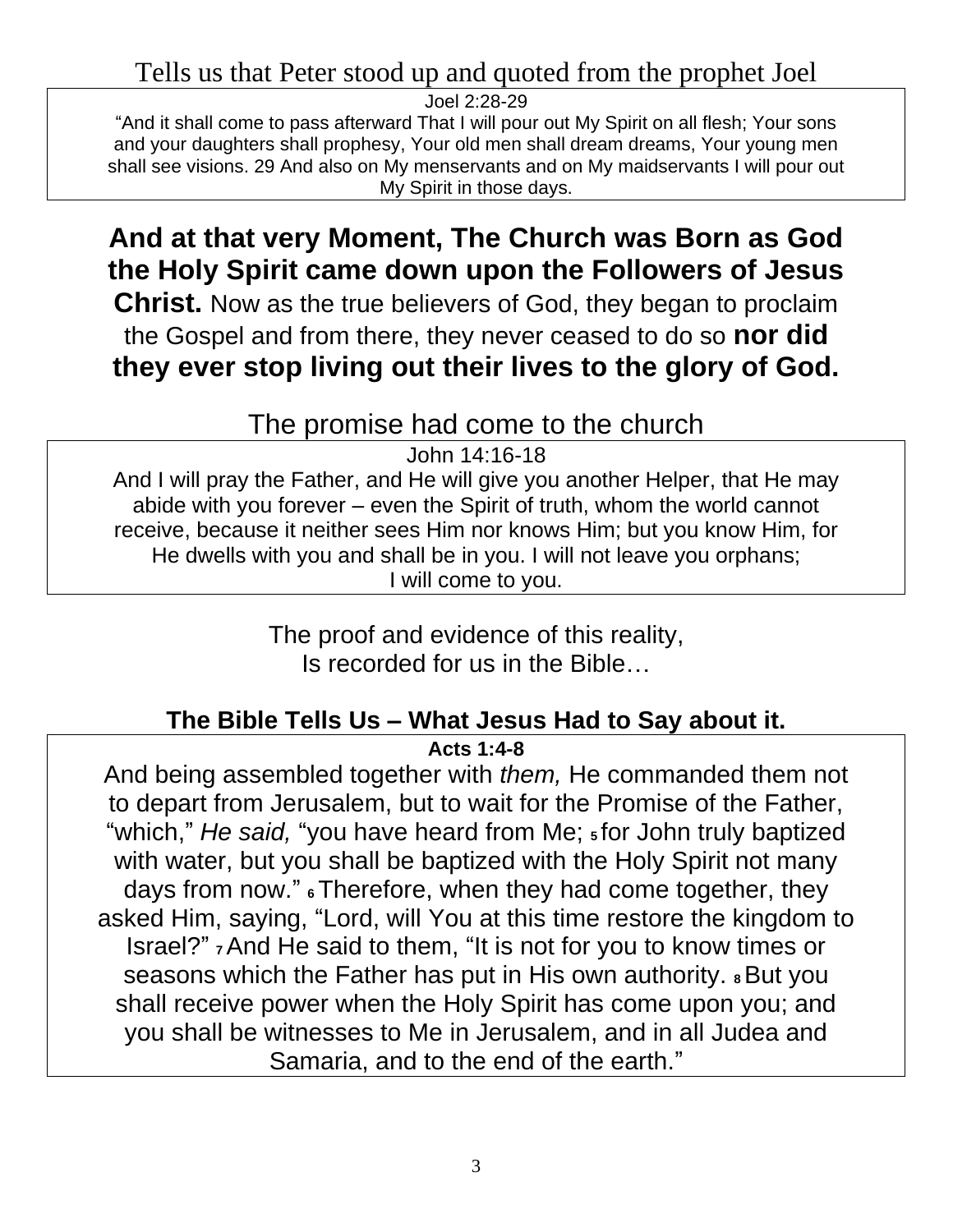### Tells us that Peter stood up and quoted from the prophet Joel

Joel 2:28-29 "And it shall come to pass afterward That I will pour out My Spirit on all flesh; Your sons and your daughters shall prophesy, Your old men shall dream dreams, Your young men shall see visions. 29 And also on My menservants and on My maidservants I will pour out My Spirit in those days.

## **And at that very Moment, The Church was Born as God the Holy Spirit came down upon the Followers of Jesus**

**Christ.** Now as the true believers of God, they began to proclaim the Gospel and from there, they never ceased to do so **nor did they ever stop living out their lives to the glory of God.**

### The promise had come to the church

John 14:16-18

And I will pray the Father, and He will give you another Helper, that He may abide with you forever – even the Spirit of truth, whom the world cannot receive, because it neither sees Him nor knows Him; but you know Him, for He dwells with you and shall be in you. I will not leave you orphans; I will come to you.

> The proof and evidence of this reality, Is recorded for us in the Bible…

### **The Bible Tells Us – What Jesus Had to Say about it.**

**Acts 1:4-8**

And being assembled together with *them,* He commanded them not to depart from Jerusalem, but to wait for the Promise of the Father, "which," *He said,* "you have heard from Me; **5** for John truly baptized with water, but you shall be baptized with the Holy Spirit not many days from now." **<sup>6</sup>**Therefore, when they had come together, they asked Him, saying, "Lord, will You at this time restore the kingdom to Israel?" **<sup>7</sup>**And He said to them, "It is not for you to know times or seasons which the Father has put in His own authority. **8** But you shall receive power when the Holy Spirit has come upon you; and you shall be witnesses to Me in Jerusalem, and in all Judea and Samaria, and to the end of the earth."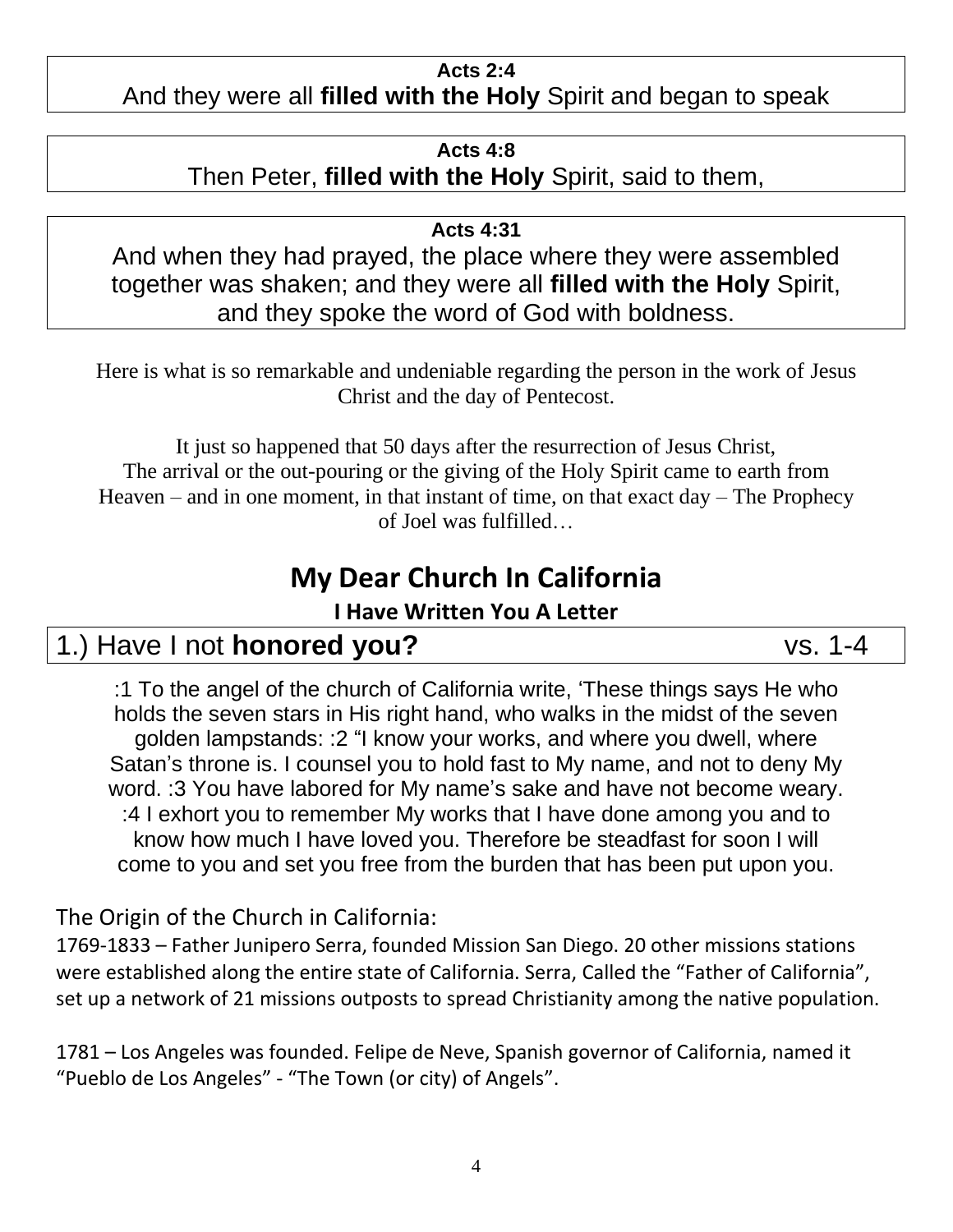#### **Acts 2:4**

### And they were all **filled with the Holy** Spirit and began to speak

#### **Acts 4:8**

Then Peter, **filled with the Holy** Spirit, said to them,

**Acts 4:31**

And when they had prayed, the place where they were assembled together was shaken; and they were all **filled with the Holy** Spirit, and they spoke the word of God with boldness.

Here is what is so remarkable and undeniable regarding the person in the work of Jesus Christ and the day of Pentecost.

It just so happened that 50 days after the resurrection of Jesus Christ, The arrival or the out-pouring or the giving of the Holy Spirit came to earth from Heaven – and in one moment, in that instant of time, on that exact  $day - The Prophecy$ of Joel was fulfilled…

## **My Dear Church In California**

### **I Have Written You A Letter**

### 1.) Have I not **honored you?** vs. 1-4

:1 To the angel of the church of California write, 'These things says He who holds the seven stars in His right hand, who walks in the midst of the seven golden lampstands: :2 "I know your works, and where you dwell, where Satan's throne is. I counsel you to hold fast to My name, and not to deny My word. :3 You have labored for My name's sake and have not become weary. :4 I exhort you to remember My works that I have done among you and to know how much I have loved you. Therefore be steadfast for soon I will come to you and set you free from the burden that has been put upon you.

The Origin of the Church in California:

1769-1833 – Father Junipero Serra, founded Mission San Diego. 20 other missions stations were established along the entire state of California. Serra, Called the "Father of California", set up a network of 21 missions outposts to spread Christianity among the native population.

1781 – Los Angeles was founded. Felipe de Neve, Spanish governor of California, named it "Pueblo de Los Angeles" - "The Town (or city) of Angels".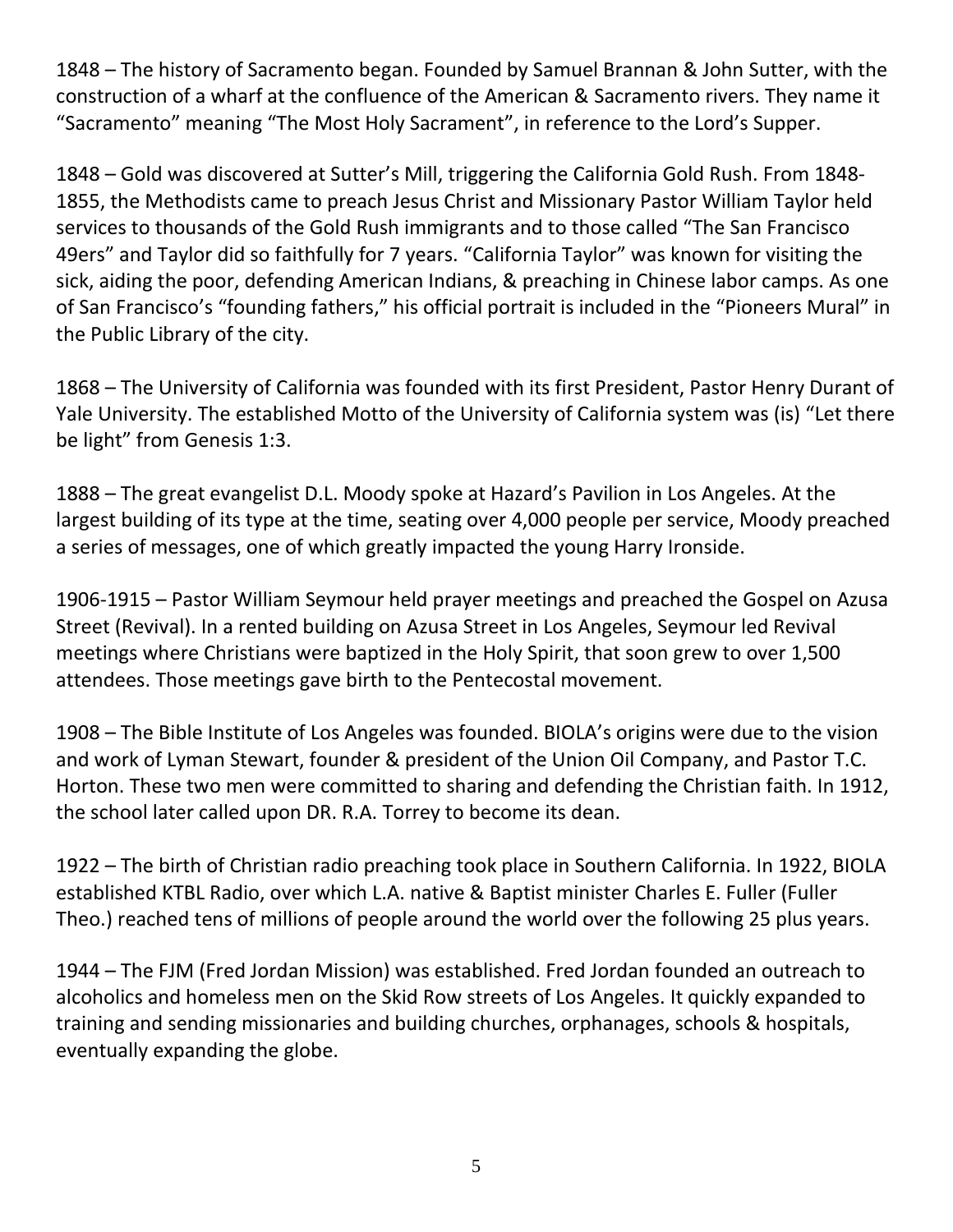1848 – The history of Sacramento began. Founded by Samuel Brannan & John Sutter, with the construction of a wharf at the confluence of the American & Sacramento rivers. They name it "Sacramento" meaning "The Most Holy Sacrament", in reference to the Lord's Supper.

1848 – Gold was discovered at Sutter's Mill, triggering the California Gold Rush. From 1848- 1855, the Methodists came to preach Jesus Christ and Missionary Pastor William Taylor held services to thousands of the Gold Rush immigrants and to those called "The San Francisco 49ers" and Taylor did so faithfully for 7 years. "California Taylor" was known for visiting the sick, aiding the poor, defending American Indians, & preaching in Chinese labor camps. As one of San Francisco's "founding fathers," his official portrait is included in the "Pioneers Mural" in the Public Library of the city.

1868 – The University of California was founded with its first President, Pastor Henry Durant of Yale University. The established Motto of the University of California system was (is) "Let there be light" from Genesis 1:3.

1888 – The great evangelist D.L. Moody spoke at Hazard's Pavilion in Los Angeles. At the largest building of its type at the time, seating over 4,000 people per service, Moody preached a series of messages, one of which greatly impacted the young Harry Ironside.

1906-1915 – Pastor William Seymour held prayer meetings and preached the Gospel on Azusa Street (Revival). In a rented building on Azusa Street in Los Angeles, Seymour led Revival meetings where Christians were baptized in the Holy Spirit, that soon grew to over 1,500 attendees. Those meetings gave birth to the Pentecostal movement.

1908 – The Bible Institute of Los Angeles was founded. BIOLA's origins were due to the vision and work of Lyman Stewart, founder & president of the Union Oil Company, and Pastor T.C. Horton. These two men were committed to sharing and defending the Christian faith. In 1912, the school later called upon DR. R.A. Torrey to become its dean.

1922 – The birth of Christian radio preaching took place in Southern California. In 1922, BIOLA established KTBL Radio, over which L.A. native & Baptist minister Charles E. Fuller (Fuller Theo.) reached tens of millions of people around the world over the following 25 plus years.

1944 – The FJM (Fred Jordan Mission) was established. Fred Jordan founded an outreach to alcoholics and homeless men on the Skid Row streets of Los Angeles. It quickly expanded to training and sending missionaries and building churches, orphanages, schools & hospitals, eventually expanding the globe.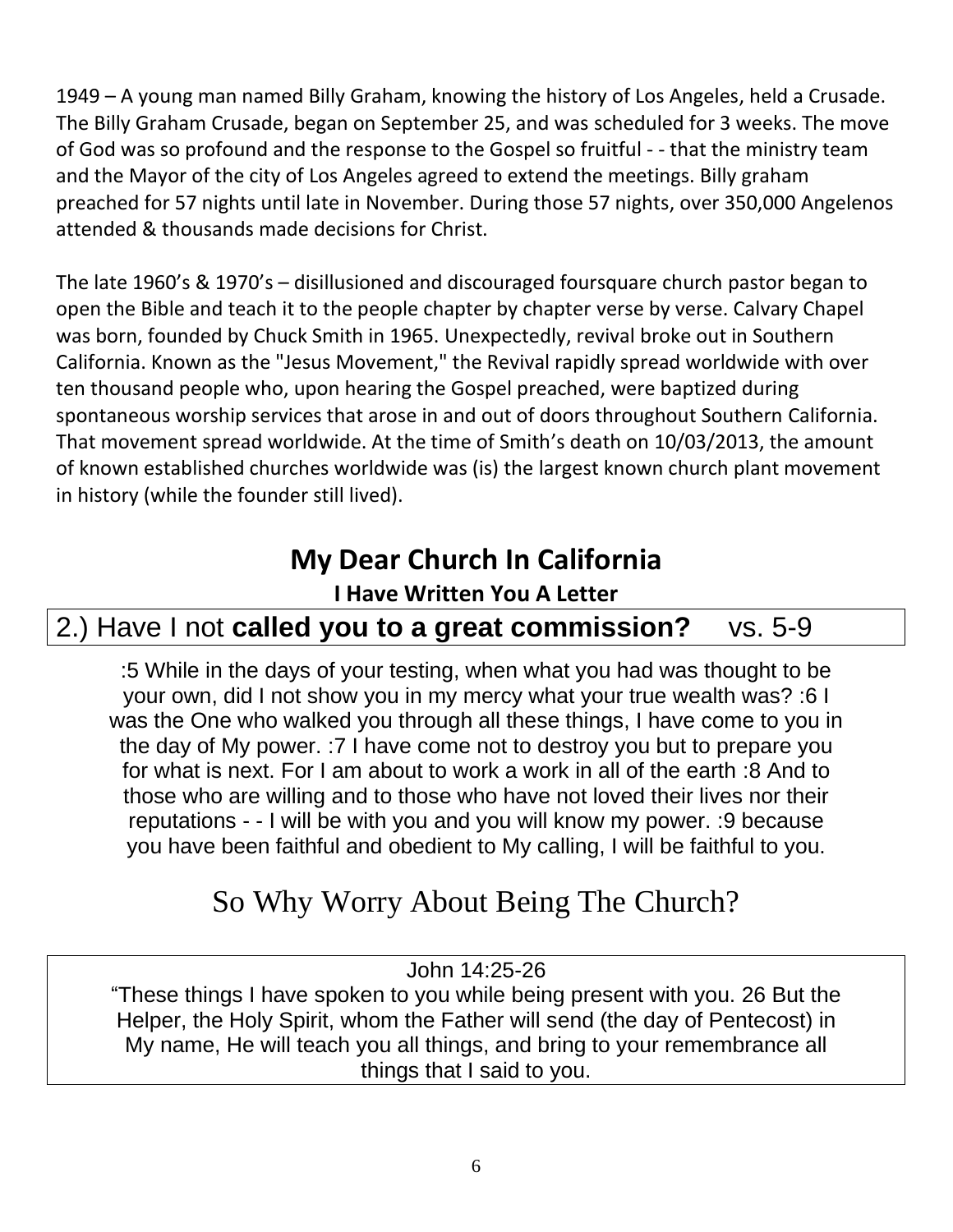1949 – A young man named Billy Graham, knowing the history of Los Angeles, held a Crusade. The Billy Graham Crusade, began on September 25, and was scheduled for 3 weeks. The move of God was so profound and the response to the Gospel so fruitful - - that the ministry team and the Mayor of the city of Los Angeles agreed to extend the meetings. Billy graham preached for 57 nights until late in November. During those 57 nights, over 350,000 Angelenos attended & thousands made decisions for Christ.

The late 1960's & 1970's – disillusioned and discouraged foursquare church pastor began to open the Bible and teach it to the people chapter by chapter verse by verse. Calvary Chapel was born, founded by Chuck Smith in 1965. Unexpectedly, revival broke out in Southern California. Known as the "Jesus Movement," the Revival rapidly spread worldwide with over ten thousand people who, upon hearing the Gospel preached, were baptized during spontaneous worship services that arose in and out of doors throughout Southern California. That movement spread worldwide. At the time of Smith's death on 10/03/2013, the amount of known established churches worldwide was (is) the largest known church plant movement in history (while the founder still lived).

# **My Dear Church In California**

### **I Have Written You A Letter**

## 2.) Have I not **called you to a great commission?** vs. 5-9

:5 While in the days of your testing, when what you had was thought to be your own, did I not show you in my mercy what your true wealth was? :6 I was the One who walked you through all these things, I have come to you in the day of My power. :7 I have come not to destroy you but to prepare you for what is next. For I am about to work a work in all of the earth :8 And to those who are willing and to those who have not loved their lives nor their reputations - - I will be with you and you will know my power. :9 because you have been faithful and obedient to My calling, I will be faithful to you.

# So Why Worry About Being The Church?

John 14:25-26

"These things I have spoken to you while being present with you. 26 But the Helper, the Holy Spirit, whom the Father will send (the day of Pentecost) in My name, He will teach you all things, and bring to your remembrance all things that I said to you.